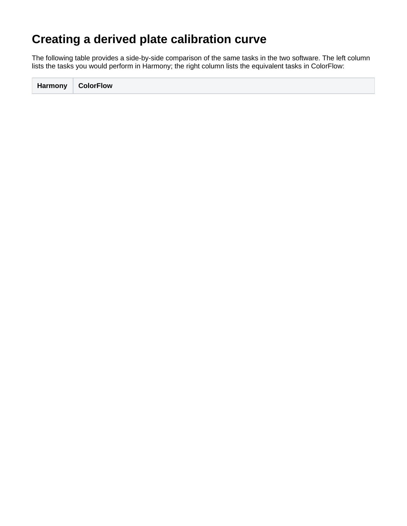## **Creating a derived plate calibration curve**

The following table provides a side-by-side comparison of the same tasks in the two software. The left column lists the tasks you would perform in Harmony; the right column lists the equivalent tasks in ColorFlow:

**Harmony ColorFlow**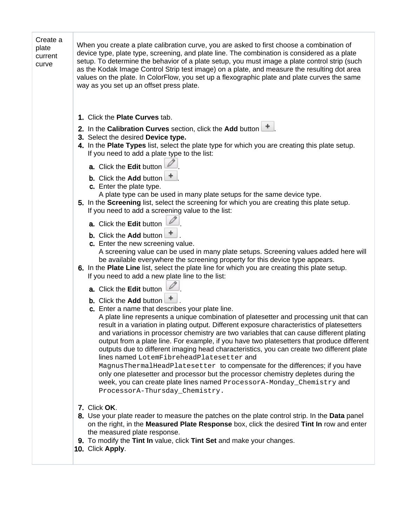| Create a<br>plate<br>current<br>curve | When you create a plate calibration curve, you are asked to first choose a combination of<br>device type, plate type, screening, and plate line. The combination is considered as a plate<br>setup. To determine the behavior of a plate setup, you must image a plate control strip (such<br>as the Kodak Image Control Strip test image) on a plate, and measure the resulting dot area<br>values on the plate. In ColorFlow, you set up a flexographic plate and plate curves the same<br>way as you set up an offset press plate.                                                                                                                                                                                                                                                                                                                                                                                                                                                                                                                                                                                                                                                                                                                                                                                                                                                                                                                                                                                                                                                                                                                                                                                                                                                                                                                                                                                                                                                                                                                                                                                                                                                                                                                                                   |
|---------------------------------------|-----------------------------------------------------------------------------------------------------------------------------------------------------------------------------------------------------------------------------------------------------------------------------------------------------------------------------------------------------------------------------------------------------------------------------------------------------------------------------------------------------------------------------------------------------------------------------------------------------------------------------------------------------------------------------------------------------------------------------------------------------------------------------------------------------------------------------------------------------------------------------------------------------------------------------------------------------------------------------------------------------------------------------------------------------------------------------------------------------------------------------------------------------------------------------------------------------------------------------------------------------------------------------------------------------------------------------------------------------------------------------------------------------------------------------------------------------------------------------------------------------------------------------------------------------------------------------------------------------------------------------------------------------------------------------------------------------------------------------------------------------------------------------------------------------------------------------------------------------------------------------------------------------------------------------------------------------------------------------------------------------------------------------------------------------------------------------------------------------------------------------------------------------------------------------------------------------------------------------------------------------------------------------------------|
|                                       | 1. Click the Plate Curves tab.<br>2. In the Calibration Curves section, click the Add button $\Box$<br>3. Select the desired Device type.<br>4. In the Plate Types list, select the plate type for which you are creating this plate setup.<br>If you need to add a plate type to the list:<br>a. Click the Edit button<br>b. Click the Add button<br>c. Enter the plate type.<br>A plate type can be used in many plate setups for the same device type.<br>5. In the Screening list, select the screening for which you are creating this plate setup.<br>If you need to add a screening value to the list:<br>a. Click the Edit button<br>b. Click the Add button<br>c. Enter the new screening value.<br>A screening value can be used in many plate setups. Screening values added here will<br>be available everywhere the screening property for this device type appears.<br>6. In the Plate Line list, select the plate line for which you are creating this plate setup.<br>If you need to add a new plate line to the list:<br>a. Click the Edit button<br>b. Click the Add button<br>c. Enter a name that describes your plate line.<br>A plate line represents a unique combination of platesetter and processing unit that can<br>result in a variation in plating output. Different exposure characteristics of platesetters<br>and variations in processor chemistry are two variables that can cause different plating<br>output from a plate line. For example, if you have two platesetters that produce different<br>outputs due to different imaging head characteristics, you can create two different plate<br>lines named LotemFibreheadPlatesetter and<br>MagnusThermalHeadPlatesetter to compensate for the differences; if you have<br>only one platesetter and processor but the processor chemistry depletes during the<br>week, you can create plate lines named ProcessorA-Monday_Chemistry and<br>ProcessorA-Thursday_Chemistry.<br>7. Click OK.<br>8. Use your plate reader to measure the patches on the plate control strip. In the Data panel<br>on the right, in the Measured Plate Response box, click the desired Tint In row and enter<br>the measured plate response.<br>9. To modify the Tint In value, click Tint Set and make your changes. |
|                                       | 10. Click Apply.                                                                                                                                                                                                                                                                                                                                                                                                                                                                                                                                                                                                                                                                                                                                                                                                                                                                                                                                                                                                                                                                                                                                                                                                                                                                                                                                                                                                                                                                                                                                                                                                                                                                                                                                                                                                                                                                                                                                                                                                                                                                                                                                                                                                                                                                        |